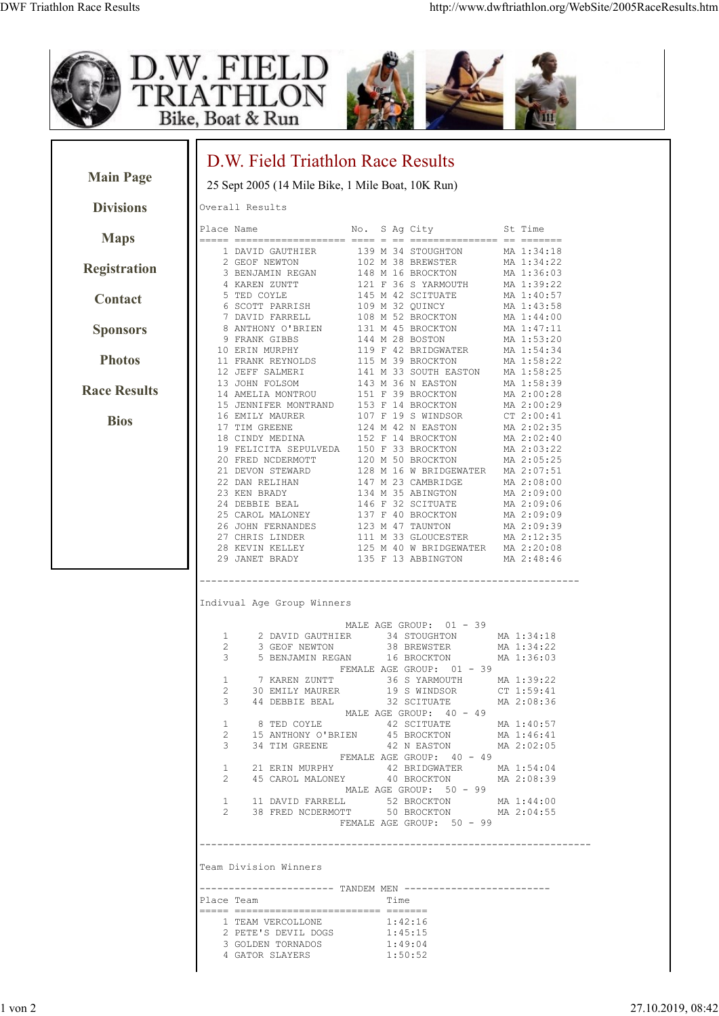







|                     | D.W. Field Triathlon Race Results                                                                                  |                                                                                                                                                                      |                                                      |
|---------------------|--------------------------------------------------------------------------------------------------------------------|----------------------------------------------------------------------------------------------------------------------------------------------------------------------|------------------------------------------------------|
| <b>Main Page</b>    | 25 Sept 2005 (14 Mile Bike, 1 Mile Boat, 10K Run)                                                                  |                                                                                                                                                                      |                                                      |
| <b>Divisions</b>    | Overall Results                                                                                                    |                                                                                                                                                                      |                                                      |
| <b>Maps</b>         | Place Name<br>1 DAVID GAUTHIER                                                                                     | No. S Ag City<br>139 M 34 STOUGHTON                                                                                                                                  | St Time<br>MA 1:34:18                                |
| <b>Registration</b> | 2 GEOF NEWTON<br>3 BENJAMIN REGAN                                                                                  | 102 M 38 BREWSTER<br>148 M 16 BROCKTON                                                                                                                               | MA 1:34:22<br>MA 1:36:03                             |
| Contact             | 4 KAREN ZUNTT<br>5 TED COYLE<br>6 SCOTT PARRISH                                                                    | 121 F 36 S YARMOUTH<br>145 M 42 SCITUATE<br>109 M 32 QUINCY                                                                                                          | MA 1:39:22<br>MA 1:40:57<br>MA 1:43:58               |
| <b>Sponsors</b>     | 7 DAVID FARRELL<br>8 ANTHONY O'BRIEN<br>9 FRANK GIBBS                                                              | 108 M 52 BROCKTON<br>131 M 45 BROCKTON<br>144 M 28 BOSTON                                                                                                            | MA 1:44:00<br>MA 1:47:11<br>MA 1:53:20               |
| <b>Photos</b>       | 10 ERIN MURPHY<br>11 FRANK REYNOLDS                                                                                | 119 F 42 BRIDGWATER<br>115 M 39 BROCKTON                                                                                                                             | MA 1:54:34<br>MA 1:58:22                             |
| <b>Race Results</b> | 12 JEFF SALMERI<br>13 JOHN FOLSOM<br>14 AMELIA MONTROU<br>15 JENNIFER MONTRAND                                     | 141 M 33 SOUTH EASTON<br>143 M 36 N EASTON<br>151 F 39 BROCKTON<br>153 F 14 BROCKTON                                                                                 | MA 1:58:25<br>MA 1:58:39<br>MA 2:00:28<br>MA 2:00:29 |
| <b>Bios</b>         | 16 EMILY MAURER<br>17 TIM GREENE<br>18 CINDY MEDINA                                                                | 107 F 19 S WINDSOR<br>124 M 42 N EASTON<br>152 F 14 BROCKTON                                                                                                         | CT 2:00:41<br>MA 2:02:35<br>MA 2:02:40               |
|                     | 19 FELICITA SEPULVEDA<br>20 FRED NCDERMOTT<br>21 DEVON STEWARD                                                     | 150 F 33 BROCKTON<br>120 M 50 BROCKTON<br>128 M 16 W BRIDGEWATER                                                                                                     | MA 2:03:22<br>MA 2:05:25<br>MA 2:07:51               |
|                     | 22 DAN RELIHAN<br>23 KEN BRADY<br>24 DEBBIE BEAL                                                                   | 147 M 23 CAMBRIDGE<br>134 M 35 ABINGTON<br>146 F 32 SCITUATE                                                                                                         | MA 2:08:00<br>MA 2:09:00<br>MA 2:09:06               |
|                     | 25 CAROL MALONEY<br>26 JOHN FERNANDES<br>27 CHRIS LINDER                                                           | 137 F 40 BROCKTON<br>123 M 47 TAUNTON                                                                                                                                | MA 2:09:09<br>MA 2:09:39<br>MA 2:12:35               |
|                     | 28 KEVIN KELLEY<br>29 JANET BRADY                                                                                  | 111 M 33 GLOUCESTER<br>125 M 40 W BRIDGEWATER<br>135 F 13 ABBINGTON                                                                                                  | MA 2:20:08<br>MA 2:48:46                             |
|                     | Indivual Age Group Winners<br>1<br>2 DAVID GAUTHIER                                                                | MALE AGE GROUP: 01 - 39<br>34 STOUGHTON                                                                                                                              | MA 1:34:18                                           |
|                     | 2<br>3 GEOF NEWTON<br>3<br>5 BENJAMIN REGAN                                                                        | 38 BREWSTER<br>16 BROCKTON<br>FEMALE AGE GROUP: 01 - 39                                                                                                              | MA 1:34:22<br>MA 1:36:03                             |
|                     | 7 KAREN ZUNTT<br>1<br>2<br>3 44 DEBBIE BEAL                                                                        | 36 S YARMOUTH<br>30 EMILY MAURER 19 S WINDSOR CT 1:59:41<br>32 SCITUATE MA 2:08:36                                                                                   | MA 1:39:22                                           |
|                     | $\mathbf{1}$<br>2<br>3                                                                                             | MALE AGE GROUP: 40 - 49<br>8 TED COYLE 42 SCITUATE<br>15 ANTHONY O'BRIEN 45 BROCKTON MA 1:46:41<br>34 TIM GREENE 42 N EASTON MA 2:02:05<br>FEMALE AGE GROUP: 40 - 49 | MA 1:40:57                                           |
|                     | $\mathbf{1}$<br>$\overline{2}$<br>1 11 DAVID FARRELL 52 BROCKTON MA 1:44:00                                        | MALE AGE GROUP: 50 - 99                                                                                                                                              |                                                      |
|                     | 2 38 FRED NCDERMOTT 50 BROCKTON MA 2:04:55                                                                         | FEMALE AGE GROUP: 50 - 99                                                                                                                                            |                                                      |
|                     | Team Division Winners                                                                                              |                                                                                                                                                                      |                                                      |
|                     | ---------------------- TANDEM MEN -------------------------<br>Place Team<br>----- ------------------------ ------ | Time                                                                                                                                                                 |                                                      |
|                     | 1 TEAM VERCOLLONE<br>2 PETE'S DEVIL DOGS<br>3 GOLDEN TORNADOS 1:49:04<br>4 GATOR SLAYERS                           | 1:42:16<br>1:45:15<br>1:50:52                                                                                                                                        |                                                      |